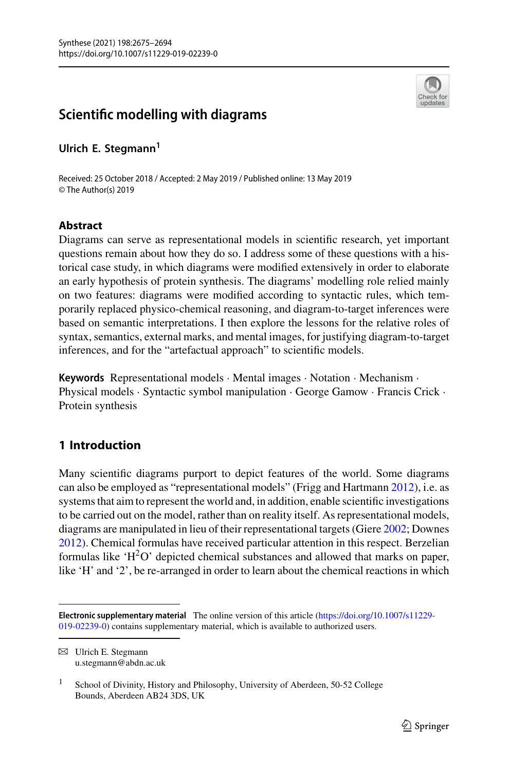

# **Scientific modelling with diagrams**

**Ulrich E. Stegmann<sup>1</sup>**

Received: 25 October 2018 / Accepted: 2 May 2019 / Published online: 13 May 2019 © The Author(s) 2019

## **Abstract**

Diagrams can serve as representational models in scientific research, yet important questions remain about how they do so. I address some of these questions with a historical case study, in which diagrams were modified extensively in order to elaborate an early hypothesis of protein synthesis. The diagrams' modelling role relied mainly on two features: diagrams were modified according to syntactic rules, which temporarily replaced physico-chemical reasoning, and diagram-to-target inferences were based on semantic interpretations. I then explore the lessons for the relative roles of syntax, semantics, external marks, and mental images, for justifying diagram-to-target inferences, and for the "artefactual approach" to scientific models.

**Keywords** Representational models · Mental images · Notation · Mechanism · Physical models · Syntactic symbol manipulation · George Gamow · Francis Crick · Protein synthesis

## **1 Introduction**

Many scientific diagrams purport to depict features of the world. Some diagrams can also be employed as "representational models" (Frigg and Hartmann [2012\)](#page-18-0), i.e. as systems that aim to represent the world and, in addition, enable scientific investigations to be carried out on the model, rather than on reality itself. As representational models, diagrams are manipulated in lieu of their representational targets (Giere [2002;](#page-18-1) Downes [2012\)](#page-18-2). Chemical formulas have received particular attention in this respect. Berzelian formulas like 'H<sup>2</sup>O' depicted chemical substances and allowed that marks on paper, like 'H' and '2', be re-arranged in order to learn about the chemical reactions in which

B Ulrich E. Stegmann u.stegmann@abdn.ac.uk

**Electronic supplementary material** The online version of this article (https://doi.org/10.1007/s11229- [019-02239-0\) contains supplementary material, which is available to authorized users.](https://doi.org/10.1007/s11229-019-02239-0)

<sup>&</sup>lt;sup>1</sup> School of Divinity, History and Philosophy, University of Aberdeen, 50-52 College Bounds, Aberdeen AB24 3DS, UK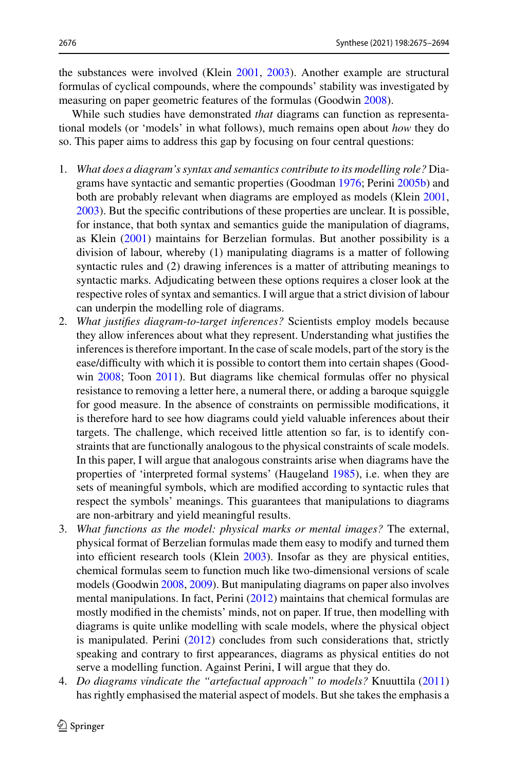the substances were involved (Klein [2001,](#page-18-3) [2003\)](#page-18-4). Another example are structural formulas of cyclical compounds, where the compounds' stability was investigated by measuring on paper geometric features of the formulas (Goodwin [2008\)](#page-18-5).

While such studies have demonstrated *that* diagrams can function as representational models (or 'models' in what follows), much remains open about *how* they do so. This paper aims to address this gap by focusing on four central questions:

- 1. *What does a diagram's syntax and semantics contribute to its modelling role?* Diagrams have syntactic and semantic properties (Goodman [1976;](#page-18-6) Perini [2005b\)](#page-19-0) and both are probably relevant when diagrams are employed as models (Klein [2001,](#page-18-3) [2003\)](#page-18-4). But the specific contributions of these properties are unclear. It is possible, for instance, that both syntax and semantics guide the manipulation of diagrams, as Klein [\(2001\)](#page-18-3) maintains for Berzelian formulas. But another possibility is a division of labour, whereby (1) manipulating diagrams is a matter of following syntactic rules and (2) drawing inferences is a matter of attributing meanings to syntactic marks. Adjudicating between these options requires a closer look at the respective roles of syntax and semantics. I will argue that a strict division of labour can underpin the modelling role of diagrams.
- 2. *What justifies diagram*-*to*-*target inferences?* Scientists employ models because they allow inferences about what they represent. Understanding what justifies the inferences is therefore important. In the case of scale models, part of the story is the ease/difficulty with which it is possible to contort them into certain shapes (Goodwin [2008;](#page-18-5) Toon [2011\)](#page-19-1). But diagrams like chemical formulas offer no physical resistance to removing a letter here, a numeral there, or adding a baroque squiggle for good measure. In the absence of constraints on permissible modifications, it is therefore hard to see how diagrams could yield valuable inferences about their targets. The challenge, which received little attention so far, is to identify constraints that are functionally analogous to the physical constraints of scale models. In this paper, I will argue that analogous constraints arise when diagrams have the properties of 'interpreted formal systems' (Haugeland [1985\)](#page-18-7), i.e. when they are sets of meaningful symbols, which are modified according to syntactic rules that respect the symbols' meanings. This guarantees that manipulations to diagrams are non-arbitrary and yield meaningful results.
- 3. *What functions as the model: physical marks or mental images?* The external, physical format of Berzelian formulas made them easy to modify and turned them into efficient research tools (Klein [2003\)](#page-18-4). Insofar as they are physical entities, chemical formulas seem to function much like two-dimensional versions of scale models (Goodwin [2008,](#page-18-5) [2009\)](#page-18-8). But manipulating diagrams on paper also involves mental manipulations. In fact, Perini [\(2012\)](#page-19-2) maintains that chemical formulas are mostly modified in the chemists' minds, not on paper. If true, then modelling with diagrams is quite unlike modelling with scale models, where the physical object is manipulated. Perini [\(2012\)](#page-19-2) concludes from such considerations that, strictly speaking and contrary to first appearances, diagrams as physical entities do not serve a modelling function. Against Perini, I will argue that they do.
- 4. *Do diagrams vindicate the "artefactual approach" to models?* Knuuttila [\(2011\)](#page-19-3) has rightly emphasised the material aspect of models. But she takes the emphasis a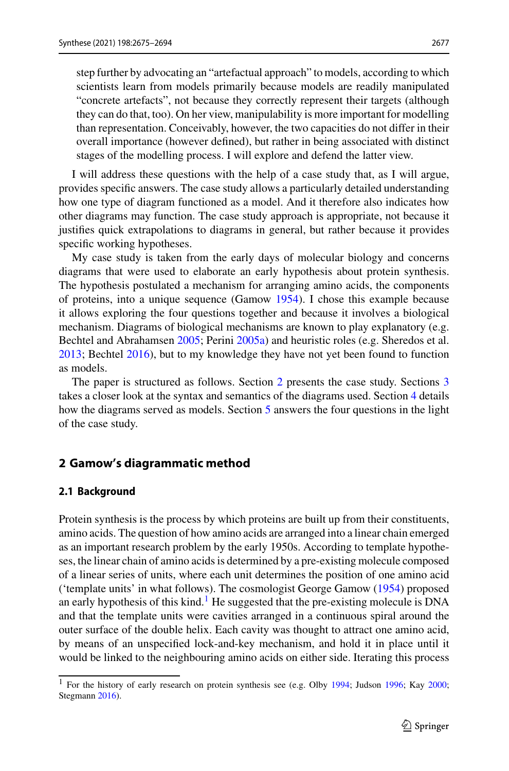step further by advocating an "artefactual approach" to models, according to which scientists learn from models primarily because models are readily manipulated "concrete artefacts", not because they correctly represent their targets (although they can do that, too). On her view, manipulability is more important for modelling than representation. Conceivably, however, the two capacities do not differ in their overall importance (however defined), but rather in being associated with distinct stages of the modelling process. I will explore and defend the latter view.

I will address these questions with the help of a case study that, as I will argue, provides specific answers. The case study allows a particularly detailed understanding how one type of diagram functioned as a model. And it therefore also indicates how other diagrams may function. The case study approach is appropriate, not because it justifies quick extrapolations to diagrams in general, but rather because it provides specific working hypotheses.

My case study is taken from the early days of molecular biology and concerns diagrams that were used to elaborate an early hypothesis about protein synthesis. The hypothesis postulated a mechanism for arranging amino acids, the components of proteins, into a unique sequence (Gamow [1954\)](#page-18-9). I chose this example because it allows exploring the four questions together and because it involves a biological mechanism. Diagrams of biological mechanisms are known to play explanatory (e.g. Bechtel and Abrahamsen [2005;](#page-18-10) Perini [2005a\)](#page-19-4) and heuristic roles (e.g. Sheredos et al. [2013;](#page-19-5) Bechtel [2016\)](#page-18-11), but to my knowledge they have not yet been found to function as models.

The paper is structured as follows. Section [2](#page-2-0) presents the case study. Sections [3](#page-6-0) takes a closer look at the syntax and semantics of the diagrams used. Section [4](#page-7-0) details how the diagrams served as models. Section [5](#page-13-0) answers the four questions in the light of the case study.

## <span id="page-2-0"></span>**2 Gamow's diagrammatic method**

## **2.1 Background**

Protein synthesis is the process by which proteins are built up from their constituents, amino acids. The question of how amino acids are arranged into a linear chain emerged as an important research problem by the early 1950s. According to template hypotheses, the linear chain of amino acids is determined by a pre-existing molecule composed of a linear series of units, where each unit determines the position of one amino acid ('template units' in what follows). The cosmologist George Gamow [\(1954\)](#page-18-9) proposed an early hypothesis of this kind.<sup>1</sup> He suggested that the pre-existing molecule is DNA and that the template units were cavities arranged in a continuous spiral around the outer surface of the double helix. Each cavity was thought to attract one amino acid, by means of an unspecified lock-and-key mechanism, and hold it in place until it would be linked to the neighbouring amino acids on either side. Iterating this process

<span id="page-2-1"></span><sup>&</sup>lt;sup>1</sup> For the history of early research on protein synthesis see (e.g. Olby [1994;](#page-19-6) Judson [1996;](#page-18-12) Kay [2000;](#page-18-13) Stegmann [2016\)](#page-19-7).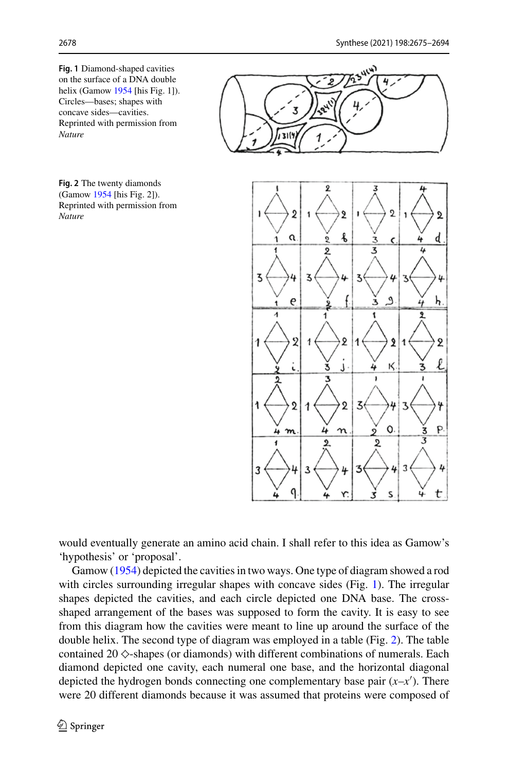<span id="page-3-0"></span>**Fig. 1** Diamond-shaped cavities on the surface of a DNA double helix (Gamow [1954](#page-18-9) [his Fig. 1]). Circles—bases; shapes with concave sides—cavities. Reprinted with permission from *Nature*

<span id="page-3-1"></span>**Fig. 2** The twenty diamonds (Gamow [1954](#page-18-9) [his Fig. 2]). Reprinted with permission from *Nature*



would eventually generate an amino acid chain. I shall refer to this idea as Gamow's 'hypothesis' or 'proposal'.

Gamow [\(1954\)](#page-18-9) depicted the cavities in two ways. One type of diagram showed a rod with circles surrounding irregular shapes with concave sides (Fig. [1\)](#page-3-0). The irregular shapes depicted the cavities, and each circle depicted one DNA base. The crossshaped arrangement of the bases was supposed to form the cavity. It is easy to see from this diagram how the cavities were meant to line up around the surface of the double helix. The second type of diagram was employed in a table (Fig. [2\)](#page-3-1). The table contained 20  $\diamond$ -shapes (or diamonds) with different combinations of numerals. Each diamond depicted one cavity, each numeral one base, and the horizontal diagonal depicted the hydrogen bonds connecting one complementary base pair (*x*–*x* ). There were 20 different diamonds because it was assumed that proteins were composed of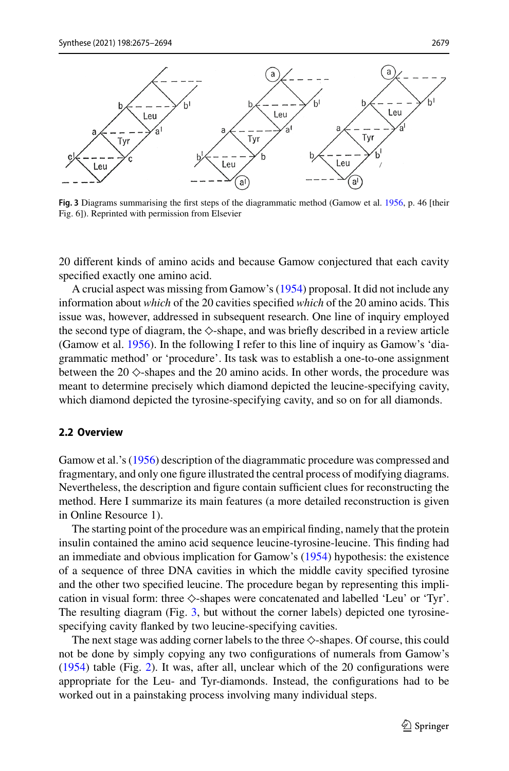

<span id="page-4-0"></span>**Fig. 3** Diagrams summarising the first steps of the diagrammatic method (Gamow et al. [1956,](#page-18-14) p. 46 [their Fig. 6]). Reprinted with permission from Elsevier

20 different kinds of amino acids and because Gamow conjectured that each cavity specified exactly one amino acid.

A crucial aspect was missing from Gamow's [\(1954\)](#page-18-9) proposal. It did not include any information about *which* of the 20 cavities specified *which* of the 20 amino acids. This issue was, however, addressed in subsequent research. One line of inquiry employed the second type of diagram, the  $\diamond$ -shape, and was briefly described in a review article (Gamow et al. [1956\)](#page-18-14). In the following I refer to this line of inquiry as Gamow's 'diagrammatic method' or 'procedure'. Its task was to establish a one-to-one assignment between the  $20 \diamond$ -shapes and the  $20$  amino acids. In other words, the procedure was meant to determine precisely which diamond depicted the leucine-specifying cavity, which diamond depicted the tyrosine-specifying cavity, and so on for all diamonds.

#### <span id="page-4-1"></span>**2.2 Overview**

Gamow et al.'s [\(1956\)](#page-18-14) description of the diagrammatic procedure was compressed and fragmentary, and only one figure illustrated the central process of modifying diagrams. Nevertheless, the description and figure contain sufficient clues for reconstructing the method. Here I summarize its main features (a more detailed reconstruction is given in Online Resource 1).

The starting point of the procedure was an empirical finding, namely that the protein insulin contained the amino acid sequence leucine-tyrosine-leucine. This finding had an immediate and obvious implication for Gamow's [\(1954\)](#page-18-9) hypothesis: the existence of a sequence of three DNA cavities in which the middle cavity specified tyrosine and the other two specified leucine. The procedure began by representing this implication in visual form: three  $\diamondsuit$ -shapes were concatenated and labelled 'Leu' or 'Tyr'. The resulting diagram (Fig. [3,](#page-4-0) but without the corner labels) depicted one tyrosinespecifying cavity flanked by two leucine-specifying cavities.

The next stage was adding corner labels to the three  $\diamondsuit$ -shapes. Of course, this could not be done by simply copying any two configurations of numerals from Gamow's [\(1954\)](#page-18-9) table (Fig. [2\)](#page-3-1). It was, after all, unclear which of the 20 configurations were appropriate for the Leu- and Tyr-diamonds. Instead, the configurations had to be worked out in a painstaking process involving many individual steps.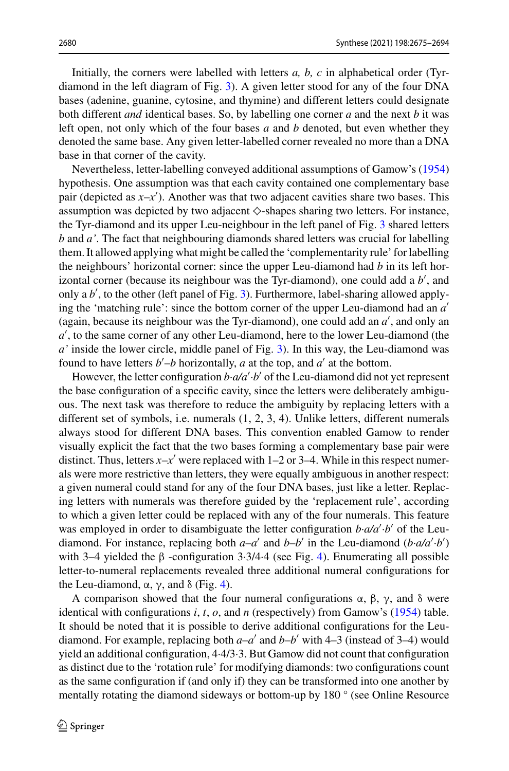Initially, the corners were labelled with letters *a, b, c* in alphabetical order (Tyrdiamond in the left diagram of Fig. [3\)](#page-4-0). A given letter stood for any of the four DNA bases (adenine, guanine, cytosine, and thymine) and different letters could designate both different *and* identical bases. So, by labelling one corner *a* and the next *b* it was left open, not only which of the four bases *a* and *b* denoted, but even whether they denoted the same base. Any given letter-labelled corner revealed no more than a DNA base in that corner of the cavity.

Nevertheless, letter-labelling conveyed additional assumptions of Gamow's [\(1954\)](#page-18-9) hypothesis. One assumption was that each cavity contained one complementary base pair (depicted as *x*–*x* ). Another was that two adjacent cavities share two bases. This assumption was depicted by two adjacent  $\diamond$ -shapes sharing two letters. For instance, the Tyr-diamond and its upper Leu-neighbour in the left panel of Fig. [3](#page-4-0) shared letters *b* and *a'*. The fact that neighbouring diamonds shared letters was crucial for labelling them. It allowed applying what might be called the 'complementarity rule' for labelling the neighbours' horizontal corner: since the upper Leu-diamond had *b* in its left horizontal corner (because its neighbour was the Tyr-diamond), one could add a *b* , and only a *b* , to the other (left panel of Fig. [3\)](#page-4-0). Furthermore, label-sharing allowed applying the 'matching rule': since the bottom corner of the upper Leu-diamond had an *a* (again, because its neighbour was the Tyr-diamond), one could add an *a* , and only an *a* , to the same corner of any other Leu-diamond, here to the lower Leu-diamond (the *a'* inside the lower circle, middle panel of Fig. [3\)](#page-4-0). In this way, the Leu-diamond was found to have letters  $b'$ – $b$  horizontally,  $a$  at the top, and  $a'$  at the bottom.

However, the letter configuration *b·a/a ·b* of the Leu-diamond did not yet represent the base configuration of a specific cavity, since the letters were deliberately ambiguous. The next task was therefore to reduce the ambiguity by replacing letters with a different set of symbols, i.e. numerals (1, 2, 3, 4). Unlike letters, different numerals always stood for different DNA bases. This convention enabled Gamow to render visually explicit the fact that the two bases forming a complementary base pair were distinct. Thus, letters  $x-x'$  were replaced with 1–2 or 3–4. While in this respect numerals were more restrictive than letters, they were equally ambiguous in another respect: a given numeral could stand for any of the four DNA bases, just like a letter. Replacing letters with numerals was therefore guided by the 'replacement rule', according to which a given letter could be replaced with any of the four numerals. This feature was employed in order to disambiguate the letter configuration  $b \cdot a/a' \cdot b'$  of the Leudiamond. For instance, replacing both  $a-a'$  and  $b-b'$  in the Leu-diamond  $(b \cdot a/a' \cdot b')$ with 3–4 yielded the β -configuration 3*·*3/4*·*4 (see Fig. [4\)](#page-6-1). Enumerating all possible letter-to-numeral replacements revealed three additional numeral configurations for the Leu-diamond,  $\alpha$ ,  $\gamma$ , and  $\delta$  (Fig. [4\)](#page-6-1).

A comparison showed that the four numeral configurations  $\alpha$ ,  $\beta$ ,  $\gamma$ , and  $\delta$  were identical with configurations *i*, *t*, *o*, and *n* (respectively) from Gamow's [\(1954\)](#page-18-9) table. It should be noted that it is possible to derive additional configurations for the Leudiamond. For example, replacing both  $a-a'$  and  $b-b'$  with 4–3 (instead of 3–4) would yield an additional configuration, 4*·*4/3*·*3. But Gamow did not count that configuration as distinct due to the 'rotation rule' for modifying diamonds: two configurations count as the same configuration if (and only if) they can be transformed into one another by mentally rotating the diamond sideways or bottom-up by 180 ° (see Online Resource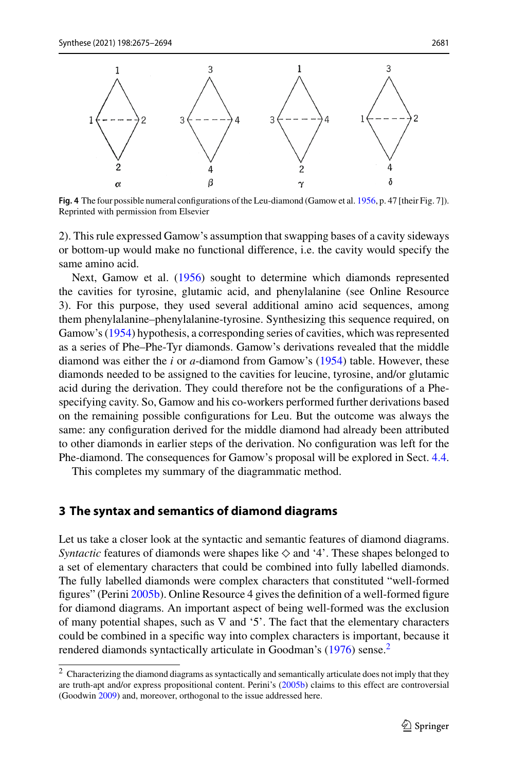

<span id="page-6-1"></span>**Fig. 4** The four possible numeral configurations of the Leu-diamond (Gamow et al. [1956,](#page-18-14) p. 47 [their Fig. 7]). Reprinted with permission from Elsevier

2). This rule expressed Gamow's assumption that swapping bases of a cavity sideways or bottom-up would make no functional difference, i.e. the cavity would specify the same amino acid.

Next, Gamow et al. [\(1956\)](#page-18-14) sought to determine which diamonds represented the cavities for tyrosine, glutamic acid, and phenylalanine (see Online Resource 3). For this purpose, they used several additional amino acid sequences, among them phenylalanine–phenylalanine-tyrosine. Synthesizing this sequence required, on Gamow's [\(1954\)](#page-18-9) hypothesis, a corresponding series of cavities, which was represented as a series of Phe–Phe-Tyr diamonds. Gamow's derivations revealed that the middle diamond was either the *i* or *a*-diamond from Gamow's [\(1954\)](#page-18-9) table. However, these diamonds needed to be assigned to the cavities for leucine, tyrosine, and/or glutamic acid during the derivation. They could therefore not be the configurations of a Phespecifying cavity. So, Gamow and his co-workers performed further derivations based on the remaining possible configurations for Leu. But the outcome was always the same: any configuration derived for the middle diamond had already been attributed to other diamonds in earlier steps of the derivation. No configuration was left for the Phe-diamond. The consequences for Gamow's proposal will be explored in Sect. [4.4.](#page-11-0)

This completes my summary of the diagrammatic method.

### <span id="page-6-0"></span>**3 The syntax and semantics of diamond diagrams**

Let us take a closer look at the syntactic and semantic features of diamond diagrams. *Syntactic* features of diamonds were shapes like  $\diamond$  and '4'. These shapes belonged to a set of elementary characters that could be combined into fully labelled diamonds. The fully labelled diamonds were complex characters that constituted "well-formed figures" (Perini [2005b\)](#page-19-0). Online Resource 4 gives the definition of a well-formed figure for diamond diagrams. An important aspect of being well-formed was the exclusion of many potential shapes, such as  $\nabla$  and '5'. The fact that the elementary characters could be combined in a specific way into complex characters is important, because it rendered diamonds syntactically articulate in Goodman's [\(1976\)](#page-18-6) sense.<sup>[2](#page-6-2)</sup>

<span id="page-6-2"></span><sup>&</sup>lt;sup>2</sup> Characterizing the diamond diagrams as syntactically and semantically articulate does not imply that they are truth-apt and/or express propositional content. Perini's [\(2005b\)](#page-19-0) claims to this effect are controversial (Goodwin [2009\)](#page-18-8) and, moreover, orthogonal to the issue addressed here.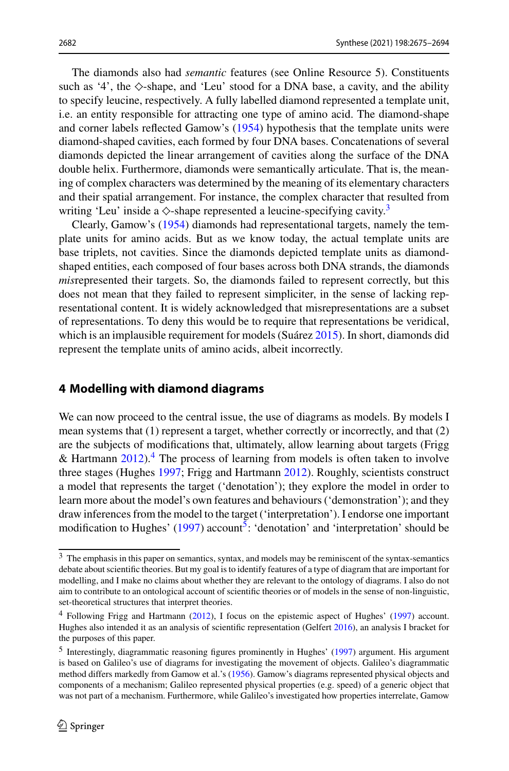The diamonds also had *semantic* features (see Online Resource 5). Constituents such as '4', the  $\diamond$ -shape, and 'Leu' stood for a DNA base, a cavity, and the ability to specify leucine, respectively. A fully labelled diamond represented a template unit, i.e. an entity responsible for attracting one type of amino acid. The diamond-shape and corner labels reflected Gamow's [\(1954\)](#page-18-9) hypothesis that the template units were diamond-shaped cavities, each formed by four DNA bases. Concatenations of several diamonds depicted the linear arrangement of cavities along the surface of the DNA double helix. Furthermore, diamonds were semantically articulate. That is, the meaning of complex characters was determined by the meaning of its elementary characters and their spatial arrangement. For instance, the complex character that resulted from writing 'Leu' inside a  $\diamond$ -shape represented a leucine-specifying cavity.<sup>3</sup>

Clearly, Gamow's [\(1954\)](#page-18-9) diamonds had representational targets, namely the template units for amino acids. But as we know today, the actual template units are base triplets, not cavities. Since the diamonds depicted template units as diamondshaped entities, each composed of four bases across both DNA strands, the diamonds *mis*represented their targets. So, the diamonds failed to represent correctly, but this does not mean that they failed to represent simpliciter, in the sense of lacking representational content. It is widely acknowledged that misrepresentations are a subset of representations. To deny this would be to require that representations be veridical, which is an implausible requirement for models (Suárez [2015\)](#page-19-8). In short, diamonds did represent the template units of amino acids, albeit incorrectly.

## <span id="page-7-0"></span>**4 Modelling with diamond diagrams**

We can now proceed to the central issue, the use of diagrams as models. By models I mean systems that (1) represent a target, whether correctly or incorrectly, and that (2) are the subjects of modifications that, ultimately, allow learning about targets (Frigg & Hartmann  $2012$ .<sup>[4](#page-7-2)</sup> The process of learning from models is often taken to involve three stages (Hughes [1997;](#page-18-15) Frigg and Hartmann [2012\)](#page-18-0). Roughly, scientists construct a model that represents the target ('denotation'); they explore the model in order to learn more about the model's own features and behaviours ('demonstration'); and they draw inferences from the model to the target ('interpretation'). I endorse one important modification to Hughes'  $(1997)$  account<sup>5</sup>: 'denotation' and 'interpretation' should be

<span id="page-7-1"></span><sup>3</sup> The emphasis in this paper on semantics, syntax, and models may be reminiscent of the syntax-semantics debate about scientific theories. But my goal is to identify features of a type of diagram that are important for modelling, and I make no claims about whether they are relevant to the ontology of diagrams. I also do not aim to contribute to an ontological account of scientific theories or of models in the sense of non-linguistic, set-theoretical structures that interpret theories.

<span id="page-7-2"></span><sup>4</sup> Following Frigg and Hartmann [\(2012\)](#page-18-0), I focus on the epistemic aspect of Hughes' [\(1997\)](#page-18-15) account. Hughes also intended it as an analysis of scientific representation (Gelfert [2016\)](#page-18-16), an analysis I bracket for the purposes of this paper.

<span id="page-7-3"></span><sup>&</sup>lt;sup>5</sup> Interestingly, diagrammatic reasoning figures prominently in Hughes' [\(1997\)](#page-18-15) argument. His argument is based on Galileo's use of diagrams for investigating the movement of objects. Galileo's diagrammatic method differs markedly from Gamow et al.'s [\(1956\)](#page-18-14). Gamow's diagrams represented physical objects and components of a mechanism; Galileo represented physical properties (e.g. speed) of a generic object that was not part of a mechanism. Furthermore, while Galileo's investigated how properties interrelate, Gamow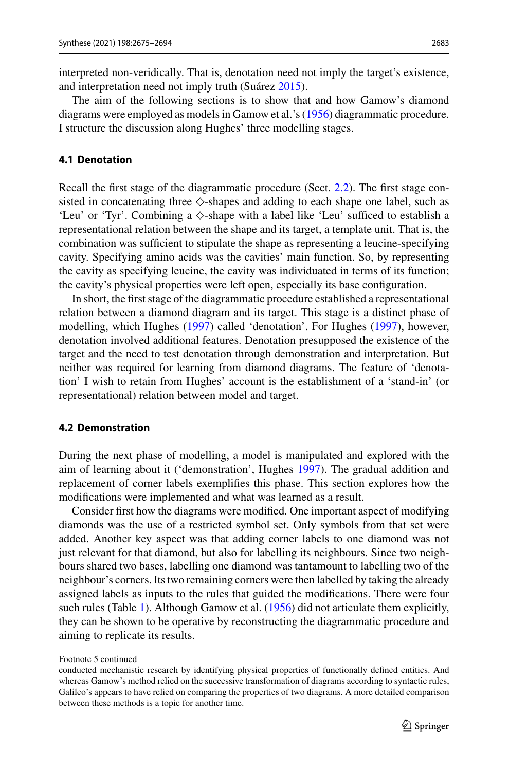interpreted non-veridically. That is, denotation need not imply the target's existence, and interpretation need not imply truth (Suárez [2015\)](#page-19-8).

The aim of the following sections is to show that and how Gamow's diamond diagrams were employed as models in Gamow et al.'s [\(1956\)](#page-18-14) diagrammatic procedure. I structure the discussion along Hughes' three modelling stages.

### **4.1 Denotation**

Recall the first stage of the diagrammatic procedure (Sect. [2.2\)](#page-4-1). The first stage consisted in concatenating three  $\diamond$ -shapes and adding to each shape one label, such as 'Leu' or 'Tyr'. Combining a  $\diamond$ -shape with a label like 'Leu' sufficed to establish a representational relation between the shape and its target, a template unit. That is, the combination was sufficient to stipulate the shape as representing a leucine-specifying cavity. Specifying amino acids was the cavities' main function. So, by representing the cavity as specifying leucine, the cavity was individuated in terms of its function; the cavity's physical properties were left open, especially its base configuration.

In short, the first stage of the diagrammatic procedure established a representational relation between a diamond diagram and its target. This stage is a distinct phase of modelling, which Hughes [\(1997\)](#page-18-15) called 'denotation'. For Hughes [\(1997\)](#page-18-15), however, denotation involved additional features. Denotation presupposed the existence of the target and the need to test denotation through demonstration and interpretation. But neither was required for learning from diamond diagrams. The feature of 'denotation' I wish to retain from Hughes' account is the establishment of a 'stand-in' (or representational) relation between model and target.

#### **4.2 Demonstration**

During the next phase of modelling, a model is manipulated and explored with the aim of learning about it ('demonstration', Hughes [1997\)](#page-18-15). The gradual addition and replacement of corner labels exemplifies this phase. This section explores how the modifications were implemented and what was learned as a result.

Consider first how the diagrams were modified. One important aspect of modifying diamonds was the use of a restricted symbol set. Only symbols from that set were added. Another key aspect was that adding corner labels to one diamond was not just relevant for that diamond, but also for labelling its neighbours. Since two neighbours shared two bases, labelling one diamond was tantamount to labelling two of the neighbour's corners. Its two remaining corners were then labelled by taking the already assigned labels as inputs to the rules that guided the modifications. There were four such rules (Table [1\)](#page-9-0). Although Gamow et al. [\(1956\)](#page-18-14) did not articulate them explicitly, they can be shown to be operative by reconstructing the diagrammatic procedure and aiming to replicate its results.

Footnote 5 continued

conducted mechanistic research by identifying physical properties of functionally defined entities. And whereas Gamow's method relied on the successive transformation of diagrams according to syntactic rules, Galileo's appears to have relied on comparing the properties of two diagrams. A more detailed comparison between these methods is a topic for another time.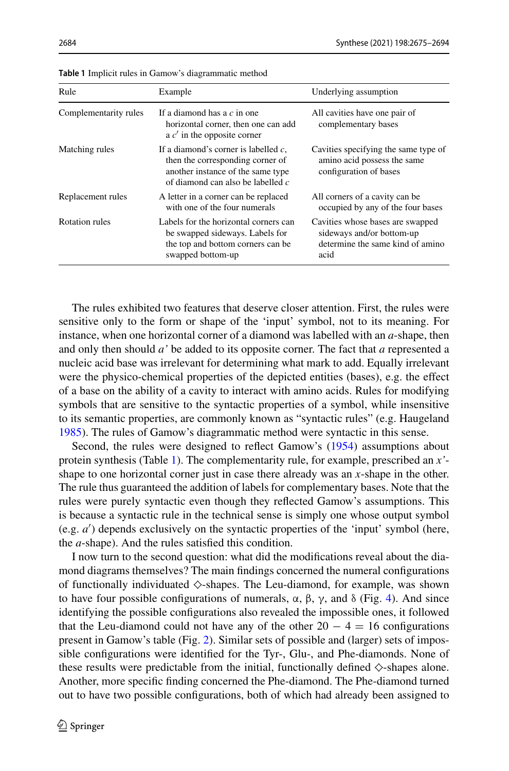| Rule                  | Example                                                                                                                                               | Underlying assumption                                                                                     |
|-----------------------|-------------------------------------------------------------------------------------------------------------------------------------------------------|-----------------------------------------------------------------------------------------------------------|
| Complementarity rules | If a diamond has a $c$ in one<br>horizontal corner, then one can add<br>a $c'$ in the opposite corner                                                 | All cavities have one pair of<br>complementary bases                                                      |
| Matching rules        | If a diamond's corner is labelled $c$ ,<br>then the corresponding corner of<br>another instance of the same type<br>of diamond can also be labelled c | Cavities specifying the same type of<br>amino acid possess the same<br>configuration of bases             |
| Replacement rules     | A letter in a corner can be replaced<br>with one of the four numerals                                                                                 | All corners of a cavity can be<br>occupied by any of the four bases                                       |
| Rotation rules        | Labels for the horizontal corners can<br>be swapped sideways. Labels for<br>the top and bottom corners can be<br>swapped bottom-up                    | Cavities whose bases are swapped<br>sideways and/or bottom-up<br>determine the same kind of amino<br>acid |

<span id="page-9-0"></span>**Table 1** Implicit rules in Gamow's diagrammatic method

The rules exhibited two features that deserve closer attention. First, the rules were sensitive only to the form or shape of the 'input' symbol, not to its meaning. For instance, when one horizontal corner of a diamond was labelled with an *a*-shape, then and only then should *a'* be added to its opposite corner. The fact that *a* represented a nucleic acid base was irrelevant for determining what mark to add. Equally irrelevant were the physico-chemical properties of the depicted entities (bases), e.g. the effect of a base on the ability of a cavity to interact with amino acids. Rules for modifying symbols that are sensitive to the syntactic properties of a symbol, while insensitive to its semantic properties, are commonly known as "syntactic rules" (e.g. Haugeland [1985\)](#page-18-7). The rules of Gamow's diagrammatic method were syntactic in this sense.

Second, the rules were designed to reflect Gamow's [\(1954\)](#page-18-9) assumptions about protein synthesis (Table [1\)](#page-9-0). The complementarity rule, for example, prescribed an *x'* shape to one horizontal corner just in case there already was an *x*-shape in the other. The rule thus guaranteed the addition of labels for complementary bases. Note that the rules were purely syntactic even though they reflected Gamow's assumptions. This is because a syntactic rule in the technical sense is simply one whose output symbol (e.g. *a* ) depends exclusively on the syntactic properties of the 'input' symbol (here, the *a*-shape). And the rules satisfied this condition.

I now turn to the second question: what did the modifications reveal about the diamond diagrams themselves? The main findings concerned the numeral configurations of functionally individuated  $\diamond$ -shapes. The Leu-diamond, for example, was shown to have four possible configurations of numerals,  $\alpha$ ,  $\beta$ ,  $\gamma$ , and  $\delta$  (Fig. [4\)](#page-6-1). And since identifying the possible configurations also revealed the impossible ones, it followed that the Leu-diamond could not have any of the other  $20 - 4 = 16$  configurations present in Gamow's table (Fig. [2\)](#page-3-1). Similar sets of possible and (larger) sets of impossible configurations were identified for the Tyr-, Glu-, and Phe-diamonds. None of these results were predictable from the initial, functionally defined  $\diamond$ -shapes alone. Another, more specific finding concerned the Phe-diamond. The Phe-diamond turned out to have two possible configurations, both of which had already been assigned to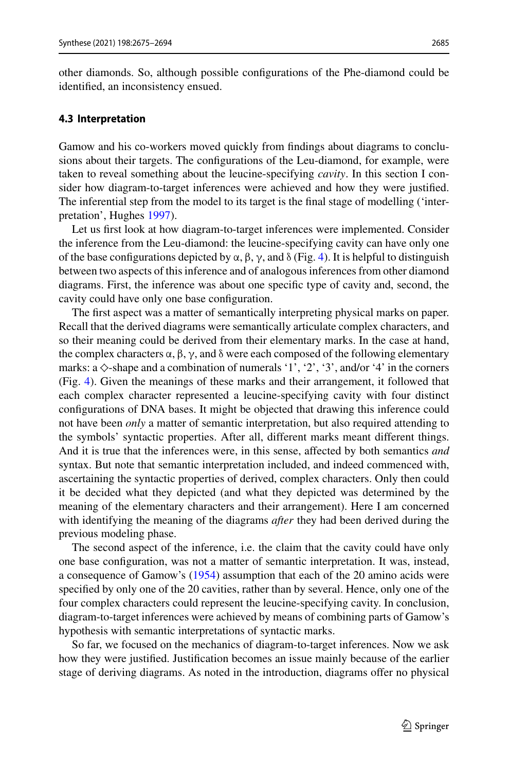other diamonds. So, although possible configurations of the Phe-diamond could be identified, an inconsistency ensued.

### **4.3 Interpretation**

Gamow and his co-workers moved quickly from findings about diagrams to conclusions about their targets. The configurations of the Leu-diamond, for example, were taken to reveal something about the leucine-specifying *cavity*. In this section I consider how diagram-to-target inferences were achieved and how they were justified. The inferential step from the model to its target is the final stage of modelling ('interpretation', Hughes [1997\)](#page-18-15).

Let us first look at how diagram-to-target inferences were implemented. Consider the inference from the Leu-diamond: the leucine-specifying cavity can have only one of the base configurations depicted by α, β, γ, and δ (Fig. [4\)](#page-6-1). It is helpful to distinguish between two aspects of this inference and of analogous inferences from other diamond diagrams. First, the inference was about one specific type of cavity and, second, the cavity could have only one base configuration.

The first aspect was a matter of semantically interpreting physical marks on paper. Recall that the derived diagrams were semantically articulate complex characters, and so their meaning could be derived from their elementary marks. In the case at hand, the complex characters  $\alpha$ ,  $\beta$ ,  $\gamma$ , and  $\delta$  were each composed of the following elementary marks: a  $\diamond$ -shape and a combination of numerals '1', '2', '3', and/or '4' in the corners (Fig. [4\)](#page-6-1). Given the meanings of these marks and their arrangement, it followed that each complex character represented a leucine-specifying cavity with four distinct configurations of DNA bases. It might be objected that drawing this inference could not have been *only* a matter of semantic interpretation, but also required attending to the symbols' syntactic properties. After all, different marks meant different things. And it is true that the inferences were, in this sense, affected by both semantics *and* syntax. But note that semantic interpretation included, and indeed commenced with, ascertaining the syntactic properties of derived, complex characters. Only then could it be decided what they depicted (and what they depicted was determined by the meaning of the elementary characters and their arrangement). Here I am concerned with identifying the meaning of the diagrams *after* they had been derived during the previous modeling phase.

The second aspect of the inference, i.e. the claim that the cavity could have only one base configuration, was not a matter of semantic interpretation. It was, instead, a consequence of Gamow's [\(1954\)](#page-18-9) assumption that each of the 20 amino acids were specified by only one of the 20 cavities, rather than by several. Hence, only one of the four complex characters could represent the leucine-specifying cavity. In conclusion, diagram-to-target inferences were achieved by means of combining parts of Gamow's hypothesis with semantic interpretations of syntactic marks.

So far, we focused on the mechanics of diagram-to-target inferences. Now we ask how they were justified. Justification becomes an issue mainly because of the earlier stage of deriving diagrams. As noted in the introduction, diagrams offer no physical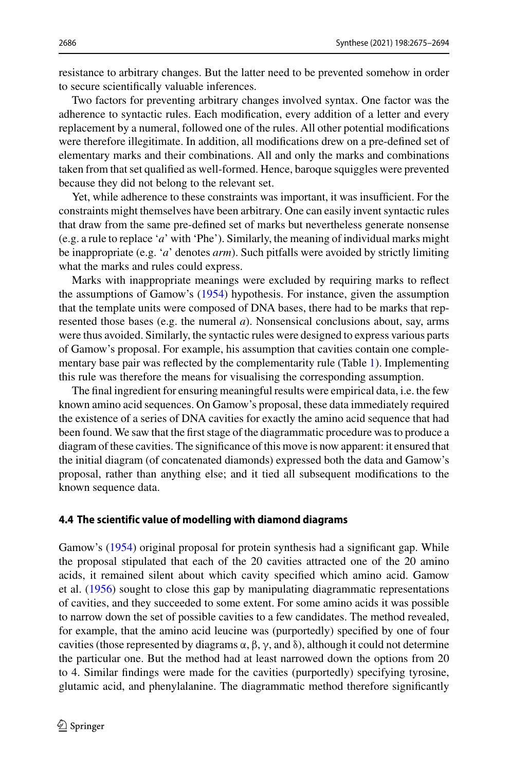resistance to arbitrary changes. But the latter need to be prevented somehow in order to secure scientifically valuable inferences.

Two factors for preventing arbitrary changes involved syntax. One factor was the adherence to syntactic rules. Each modification, every addition of a letter and every replacement by a numeral, followed one of the rules. All other potential modifications were therefore illegitimate. In addition, all modifications drew on a pre-defined set of elementary marks and their combinations. All and only the marks and combinations taken from that set qualified as well-formed. Hence, baroque squiggles were prevented because they did not belong to the relevant set.

Yet, while adherence to these constraints was important, it was insufficient. For the constraints might themselves have been arbitrary. One can easily invent syntactic rules that draw from the same pre-defined set of marks but nevertheless generate nonsense (e.g. a rule to replace '*a*' with 'Phe'). Similarly, the meaning of individual marks might be inappropriate (e.g. '*a*' denotes *arm*). Such pitfalls were avoided by strictly limiting what the marks and rules could express.

Marks with inappropriate meanings were excluded by requiring marks to reflect the assumptions of Gamow's [\(1954\)](#page-18-9) hypothesis. For instance, given the assumption that the template units were composed of DNA bases, there had to be marks that represented those bases (e.g. the numeral *a*). Nonsensical conclusions about, say, arms were thus avoided. Similarly, the syntactic rules were designed to express various parts of Gamow's proposal. For example, his assumption that cavities contain one complementary base pair was reflected by the complementarity rule (Table [1\)](#page-9-0). Implementing this rule was therefore the means for visualising the corresponding assumption.

The final ingredient for ensuring meaningful results were empirical data, i.e. the few known amino acid sequences. On Gamow's proposal, these data immediately required the existence of a series of DNA cavities for exactly the amino acid sequence that had been found. We saw that the first stage of the diagrammatic procedure was to produce a diagram of these cavities. The significance of this move is now apparent: it ensured that the initial diagram (of concatenated diamonds) expressed both the data and Gamow's proposal, rather than anything else; and it tied all subsequent modifications to the known sequence data.

#### <span id="page-11-0"></span>**4.4 The scientific value of modelling with diamond diagrams**

Gamow's [\(1954\)](#page-18-9) original proposal for protein synthesis had a significant gap. While the proposal stipulated that each of the 20 cavities attracted one of the 20 amino acids, it remained silent about which cavity specified which amino acid. Gamow et al. [\(1956\)](#page-18-14) sought to close this gap by manipulating diagrammatic representations of cavities, and they succeeded to some extent. For some amino acids it was possible to narrow down the set of possible cavities to a few candidates. The method revealed, for example, that the amino acid leucine was (purportedly) specified by one of four cavities (those represented by diagrams α, β, γ, and δ), although it could not determine the particular one. But the method had at least narrowed down the options from 20 to 4. Similar findings were made for the cavities (purportedly) specifying tyrosine, glutamic acid, and phenylalanine. The diagrammatic method therefore significantly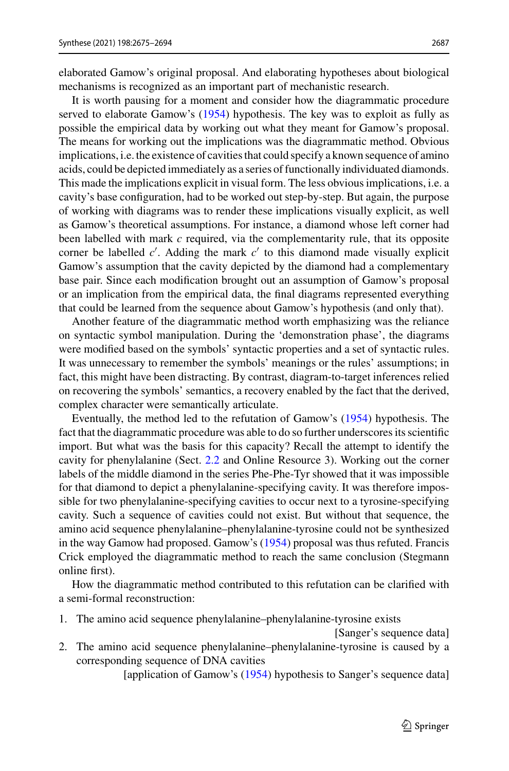elaborated Gamow's original proposal. And elaborating hypotheses about biological mechanisms is recognized as an important part of mechanistic research.

It is worth pausing for a moment and consider how the diagrammatic procedure served to elaborate Gamow's [\(1954\)](#page-18-9) hypothesis. The key was to exploit as fully as possible the empirical data by working out what they meant for Gamow's proposal. The means for working out the implications was the diagrammatic method. Obvious implications, i.e. the existence of cavities that could specify a known sequence of amino acids, could be depicted immediately as a series of functionally individuated diamonds. This made the implications explicit in visual form. The less obvious implications, i.e. a cavity's base configuration, had to be worked out step-by-step. But again, the purpose of working with diagrams was to render these implications visually explicit, as well as Gamow's theoretical assumptions. For instance, a diamond whose left corner had been labelled with mark *c* required, via the complementarity rule, that its opposite corner be labelled *c'*. Adding the mark *c'* to this diamond made visually explicit Gamow's assumption that the cavity depicted by the diamond had a complementary base pair. Since each modification brought out an assumption of Gamow's proposal or an implication from the empirical data, the final diagrams represented everything that could be learned from the sequence about Gamow's hypothesis (and only that).

Another feature of the diagrammatic method worth emphasizing was the reliance on syntactic symbol manipulation. During the 'demonstration phase', the diagrams were modified based on the symbols' syntactic properties and a set of syntactic rules. It was unnecessary to remember the symbols' meanings or the rules' assumptions; in fact, this might have been distracting. By contrast, diagram-to-target inferences relied on recovering the symbols' semantics, a recovery enabled by the fact that the derived, complex character were semantically articulate.

Eventually, the method led to the refutation of Gamow's [\(1954\)](#page-18-9) hypothesis. The fact that the diagrammatic procedure was able to do so further underscores its scientific import. But what was the basis for this capacity? Recall the attempt to identify the cavity for phenylalanine (Sect. [2.2](#page-4-1) and Online Resource 3). Working out the corner labels of the middle diamond in the series Phe-Phe-Tyr showed that it was impossible for that diamond to depict a phenylalanine-specifying cavity. It was therefore impossible for two phenylalanine-specifying cavities to occur next to a tyrosine-specifying cavity. Such a sequence of cavities could not exist. But without that sequence, the amino acid sequence phenylalanine–phenylalanine-tyrosine could not be synthesized in the way Gamow had proposed. Gamow's [\(1954\)](#page-18-9) proposal was thus refuted. Francis Crick employed the diagrammatic method to reach the same conclusion (Stegmann online first).

How the diagrammatic method contributed to this refutation can be clarified with a semi-formal reconstruction:

1. The amino acid sequence phenylalanine–phenylalanine-tyrosine exists

[Sanger's sequence data]

2. The amino acid sequence phenylalanine–phenylalanine-tyrosine is caused by a corresponding sequence of DNA cavities

[application of Gamow's [\(1954\)](#page-18-9) hypothesis to Sanger's sequence data]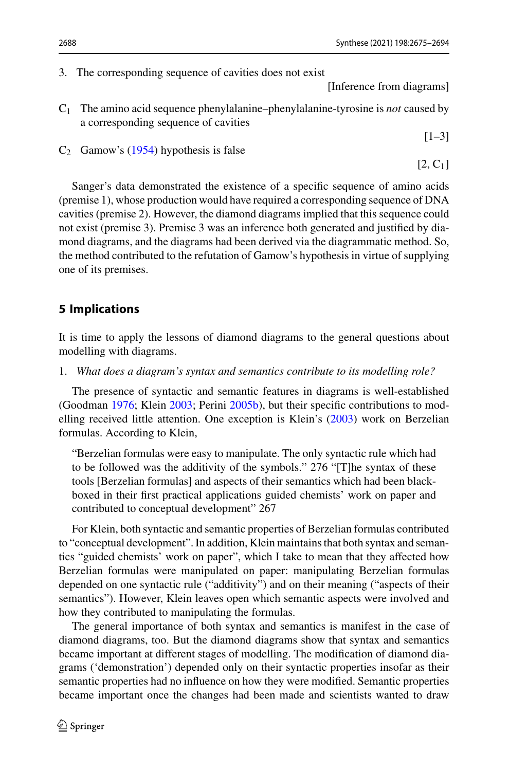3. The corresponding sequence of cavities does not exist

[Inference from diagrams]

 $[1-3]$ 

[2, C1]

- C1 The amino acid sequence phenylalanine–phenylalanine-tyrosine is *not* caused by a corresponding sequence of cavities
- $C_2$  Gamow's [\(1954\)](#page-18-9) hypothesis is false

Sanger's data demonstrated the existence of a specific sequence of amino acids (premise 1), whose production would have required a corresponding sequence of DNA cavities (premise 2). However, the diamond diagrams implied that this sequence could not exist (premise 3). Premise 3 was an inference both generated and justified by diamond diagrams, and the diagrams had been derived via the diagrammatic method. So, the method contributed to the refutation of Gamow's hypothesis in virtue of supplying one of its premises.

## <span id="page-13-0"></span>**5 Implications**

It is time to apply the lessons of diamond diagrams to the general questions about modelling with diagrams.

1. *What does a diagram's syntax and semantics contribute to its modelling role?*

The presence of syntactic and semantic features in diagrams is well-established (Goodman [1976;](#page-18-6) Klein [2003;](#page-18-4) Perini [2005b\)](#page-19-0), but their specific contributions to modelling received little attention. One exception is Klein's [\(2003\)](#page-18-4) work on Berzelian formulas. According to Klein,

"Berzelian formulas were easy to manipulate. The only syntactic rule which had to be followed was the additivity of the symbols." 276 "[T]he syntax of these tools [Berzelian formulas] and aspects of their semantics which had been blackboxed in their first practical applications guided chemists' work on paper and contributed to conceptual development" 267

For Klein, both syntactic and semantic properties of Berzelian formulas contributed to "conceptual development". In addition, Klein maintains that both syntax and semantics "guided chemists' work on paper", which I take to mean that they affected how Berzelian formulas were manipulated on paper: manipulating Berzelian formulas depended on one syntactic rule ("additivity") and on their meaning ("aspects of their semantics"). However, Klein leaves open which semantic aspects were involved and how they contributed to manipulating the formulas.

The general importance of both syntax and semantics is manifest in the case of diamond diagrams, too. But the diamond diagrams show that syntax and semantics became important at different stages of modelling. The modification of diamond diagrams ('demonstration') depended only on their syntactic properties insofar as their semantic properties had no influence on how they were modified. Semantic properties became important once the changes had been made and scientists wanted to draw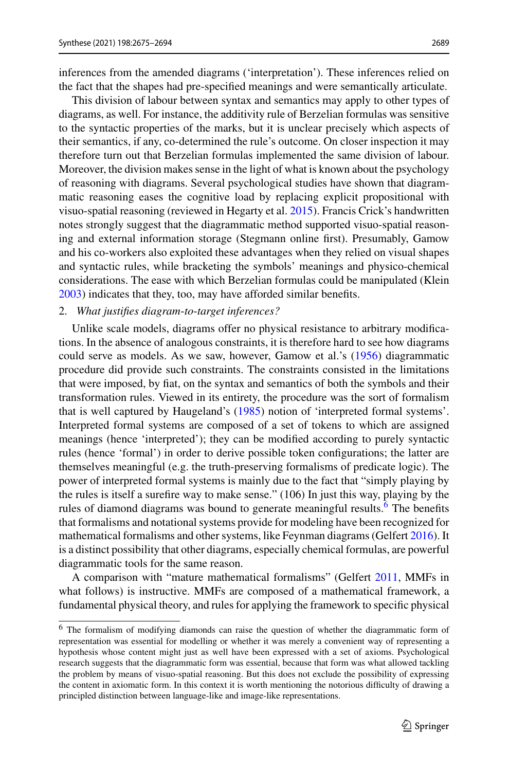inferences from the amended diagrams ('interpretation'). These inferences relied on the fact that the shapes had pre-specified meanings and were semantically articulate.

This division of labour between syntax and semantics may apply to other types of diagrams, as well. For instance, the additivity rule of Berzelian formulas was sensitive to the syntactic properties of the marks, but it is unclear precisely which aspects of their semantics, if any, co-determined the rule's outcome. On closer inspection it may therefore turn out that Berzelian formulas implemented the same division of labour. Moreover, the division makes sense in the light of what is known about the psychology of reasoning with diagrams. Several psychological studies have shown that diagrammatic reasoning eases the cognitive load by replacing explicit propositional with visuo-spatial reasoning (reviewed in Hegarty et al. [2015\)](#page-18-17). Francis Crick's handwritten notes strongly suggest that the diagrammatic method supported visuo-spatial reasoning and external information storage (Stegmann online first). Presumably, Gamow and his co-workers also exploited these advantages when they relied on visual shapes and syntactic rules, while bracketing the symbols' meanings and physico-chemical considerations. The ease with which Berzelian formulas could be manipulated (Klein [2003\)](#page-18-4) indicates that they, too, may have afforded similar benefits.

### 2. *What justifies diagram*-*to*-*target inferences?*

Unlike scale models, diagrams offer no physical resistance to arbitrary modifications. In the absence of analogous constraints, it is therefore hard to see how diagrams could serve as models. As we saw, however, Gamow et al.'s [\(1956\)](#page-18-14) diagrammatic procedure did provide such constraints. The constraints consisted in the limitations that were imposed, by fiat, on the syntax and semantics of both the symbols and their transformation rules. Viewed in its entirety, the procedure was the sort of formalism that is well captured by Haugeland's [\(1985\)](#page-18-7) notion of 'interpreted formal systems'. Interpreted formal systems are composed of a set of tokens to which are assigned meanings (hence 'interpreted'); they can be modified according to purely syntactic rules (hence 'formal') in order to derive possible token configurations; the latter are themselves meaningful (e.g. the truth-preserving formalisms of predicate logic). The power of interpreted formal systems is mainly due to the fact that "simply playing by the rules is itself a surefire way to make sense." (106) In just this way, playing by the rules of diamond diagrams was bound to generate meaningful results.<sup>[6](#page-14-0)</sup> The benefits that formalisms and notational systems provide for modeling have been recognized for mathematical formalisms and other systems, like Feynman diagrams (Gelfert [2016\)](#page-18-16). It is a distinct possibility that other diagrams, especially chemical formulas, are powerful diagrammatic tools for the same reason.

A comparison with "mature mathematical formalisms" (Gelfert [2011,](#page-18-18) MMFs in what follows) is instructive. MMFs are composed of a mathematical framework, a fundamental physical theory, and rules for applying the framework to specific physical

<span id="page-14-0"></span><sup>6</sup> The formalism of modifying diamonds can raise the question of whether the diagrammatic form of representation was essential for modelling or whether it was merely a convenient way of representing a hypothesis whose content might just as well have been expressed with a set of axioms. Psychological research suggests that the diagrammatic form was essential, because that form was what allowed tackling the problem by means of visuo-spatial reasoning. But this does not exclude the possibility of expressing the content in axiomatic form. In this context it is worth mentioning the notorious difficulty of drawing a principled distinction between language-like and image-like representations.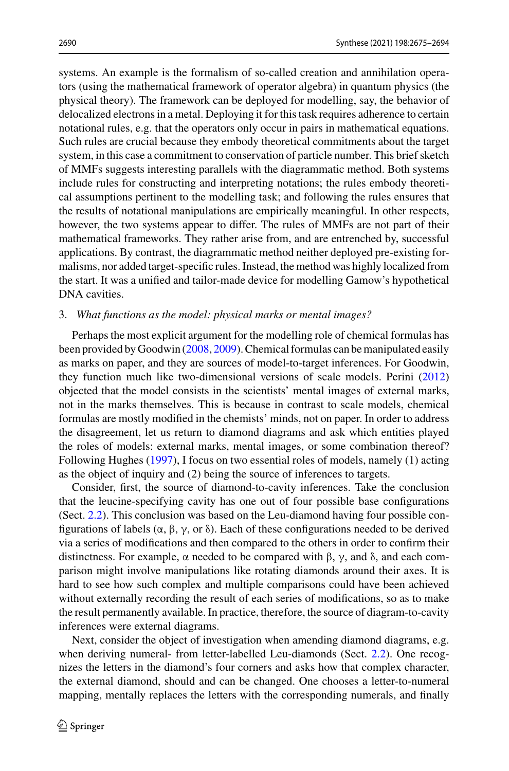systems. An example is the formalism of so-called creation and annihilation operators (using the mathematical framework of operator algebra) in quantum physics (the physical theory). The framework can be deployed for modelling, say, the behavior of delocalized electrons in a metal. Deploying it for this task requires adherence to certain notational rules, e.g. that the operators only occur in pairs in mathematical equations. Such rules are crucial because they embody theoretical commitments about the target system, in this case a commitment to conservation of particle number. This brief sketch of MMFs suggests interesting parallels with the diagrammatic method. Both systems include rules for constructing and interpreting notations; the rules embody theoretical assumptions pertinent to the modelling task; and following the rules ensures that the results of notational manipulations are empirically meaningful. In other respects, however, the two systems appear to differ. The rules of MMFs are not part of their mathematical frameworks. They rather arise from, and are entrenched by, successful applications. By contrast, the diagrammatic method neither deployed pre-existing formalisms, nor added target-specific rules. Instead, the method was highly localized from the start. It was a unified and tailor-made device for modelling Gamow's hypothetical DNA cavities.

#### 3. *What functions as the model: physical marks or mental images?*

Perhaps the most explicit argument for the modelling role of chemical formulas has been provided by Goodwin [\(2008,](#page-18-5) [2009\)](#page-18-8). Chemical formulas can be manipulated easily as marks on paper, and they are sources of model-to-target inferences. For Goodwin, they function much like two-dimensional versions of scale models. Perini [\(2012\)](#page-19-2) objected that the model consists in the scientists' mental images of external marks, not in the marks themselves. This is because in contrast to scale models, chemical formulas are mostly modified in the chemists' minds, not on paper. In order to address the disagreement, let us return to diamond diagrams and ask which entities played the roles of models: external marks, mental images, or some combination thereof? Following Hughes [\(1997\)](#page-18-15), I focus on two essential roles of models, namely (1) acting as the object of inquiry and (2) being the source of inferences to targets.

Consider, first, the source of diamond-to-cavity inferences. Take the conclusion that the leucine-specifying cavity has one out of four possible base configurations (Sect. [2.2\)](#page-4-1). This conclusion was based on the Leu-diamond having four possible configurations of labels (α, β, γ, or δ). Each of these configurations needed to be derived via a series of modifications and then compared to the others in order to confirm their distinctness. For example,  $\alpha$  needed to be compared with β, γ, and δ, and each comparison might involve manipulations like rotating diamonds around their axes. It is hard to see how such complex and multiple comparisons could have been achieved without externally recording the result of each series of modifications, so as to make the result permanently available. In practice, therefore, the source of diagram-to-cavity inferences were external diagrams.

Next, consider the object of investigation when amending diamond diagrams, e.g. when deriving numeral- from letter-labelled Leu-diamonds (Sect. [2.2\)](#page-4-1). One recognizes the letters in the diamond's four corners and asks how that complex character, the external diamond, should and can be changed. One chooses a letter-to-numeral mapping, mentally replaces the letters with the corresponding numerals, and finally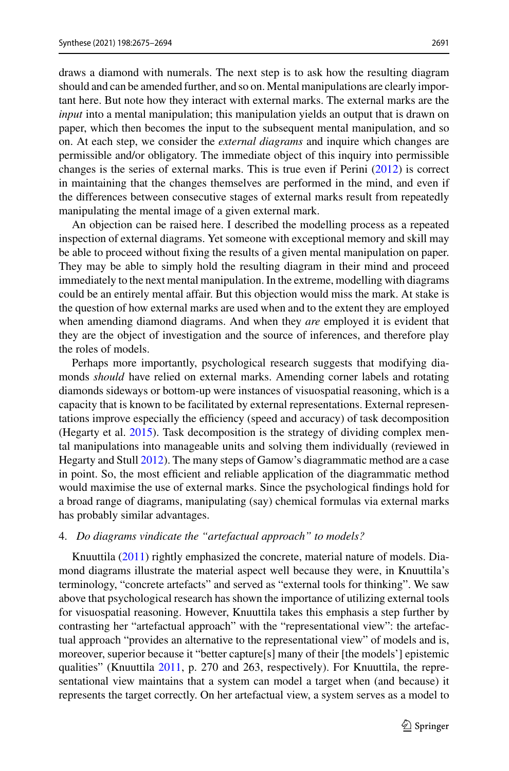draws a diamond with numerals. The next step is to ask how the resulting diagram should and can be amended further, and so on. Mental manipulations are clearly important here. But note how they interact with external marks. The external marks are the *input* into a mental manipulation; this manipulation yields an output that is drawn on paper, which then becomes the input to the subsequent mental manipulation, and so on. At each step, we consider the *external diagrams* and inquire which changes are permissible and/or obligatory. The immediate object of this inquiry into permissible changes is the series of external marks. This is true even if Perini [\(2012\)](#page-19-2) is correct in maintaining that the changes themselves are performed in the mind, and even if the differences between consecutive stages of external marks result from repeatedly manipulating the mental image of a given external mark.

An objection can be raised here. I described the modelling process as a repeated inspection of external diagrams. Yet someone with exceptional memory and skill may be able to proceed without fixing the results of a given mental manipulation on paper. They may be able to simply hold the resulting diagram in their mind and proceed immediately to the next mental manipulation. In the extreme, modelling with diagrams could be an entirely mental affair. But this objection would miss the mark. At stake is the question of how external marks are used when and to the extent they are employed when amending diamond diagrams. And when they *are* employed it is evident that they are the object of investigation and the source of inferences, and therefore play the roles of models.

Perhaps more importantly, psychological research suggests that modifying diamonds *should* have relied on external marks. Amending corner labels and rotating diamonds sideways or bottom-up were instances of visuospatial reasoning, which is a capacity that is known to be facilitated by external representations. External representations improve especially the efficiency (speed and accuracy) of task decomposition (Hegarty et al. [2015\)](#page-18-17). Task decomposition is the strategy of dividing complex mental manipulations into manageable units and solving them individually (reviewed in Hegarty and Stull [2012\)](#page-18-19). The many steps of Gamow's diagrammatic method are a case in point. So, the most efficient and reliable application of the diagrammatic method would maximise the use of external marks. Since the psychological findings hold for a broad range of diagrams, manipulating (say) chemical formulas via external marks has probably similar advantages.

#### 4. *Do diagrams vindicate the "artefactual approach" to models?*

Knuuttila [\(2011\)](#page-19-3) rightly emphasized the concrete, material nature of models. Diamond diagrams illustrate the material aspect well because they were, in Knuuttila's terminology, "concrete artefacts" and served as "external tools for thinking". We saw above that psychological research has shown the importance of utilizing external tools for visuospatial reasoning. However, Knuuttila takes this emphasis a step further by contrasting her "artefactual approach" with the "representational view": the artefactual approach "provides an alternative to the representational view" of models and is, moreover, superior because it "better capture[s] many of their [the models'] epistemic qualities" (Knuuttila [2011,](#page-19-3) p. 270 and 263, respectively). For Knuuttila, the representational view maintains that a system can model a target when (and because) it represents the target correctly. On her artefactual view, a system serves as a model to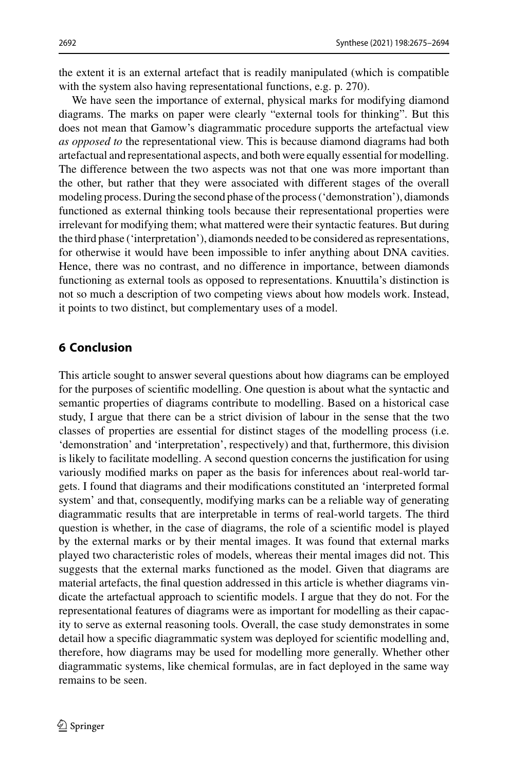the extent it is an external artefact that is readily manipulated (which is compatible with the system also having representational functions, e.g. p. 270).

We have seen the importance of external, physical marks for modifying diamond diagrams. The marks on paper were clearly "external tools for thinking". But this does not mean that Gamow's diagrammatic procedure supports the artefactual view *as opposed to* the representational view. This is because diamond diagrams had both artefactual and representational aspects, and both were equally essential for modelling. The difference between the two aspects was not that one was more important than the other, but rather that they were associated with different stages of the overall modeling process. During the second phase of the process ('demonstration'), diamonds functioned as external thinking tools because their representational properties were irrelevant for modifying them; what mattered were their syntactic features. But during the third phase ('interpretation'), diamonds needed to be considered as representations, for otherwise it would have been impossible to infer anything about DNA cavities. Hence, there was no contrast, and no difference in importance, between diamonds functioning as external tools as opposed to representations. Knuuttila's distinction is not so much a description of two competing views about how models work. Instead, it points to two distinct, but complementary uses of a model.

## **6 Conclusion**

This article sought to answer several questions about how diagrams can be employed for the purposes of scientific modelling. One question is about what the syntactic and semantic properties of diagrams contribute to modelling. Based on a historical case study, I argue that there can be a strict division of labour in the sense that the two classes of properties are essential for distinct stages of the modelling process (i.e. 'demonstration' and 'interpretation', respectively) and that, furthermore, this division is likely to facilitate modelling. A second question concerns the justification for using variously modified marks on paper as the basis for inferences about real-world targets. I found that diagrams and their modifications constituted an 'interpreted formal system' and that, consequently, modifying marks can be a reliable way of generating diagrammatic results that are interpretable in terms of real-world targets. The third question is whether, in the case of diagrams, the role of a scientific model is played by the external marks or by their mental images. It was found that external marks played two characteristic roles of models, whereas their mental images did not. This suggests that the external marks functioned as the model. Given that diagrams are material artefacts, the final question addressed in this article is whether diagrams vindicate the artefactual approach to scientific models. I argue that they do not. For the representational features of diagrams were as important for modelling as their capacity to serve as external reasoning tools. Overall, the case study demonstrates in some detail how a specific diagrammatic system was deployed for scientific modelling and, therefore, how diagrams may be used for modelling more generally. Whether other diagrammatic systems, like chemical formulas, are in fact deployed in the same way remains to be seen.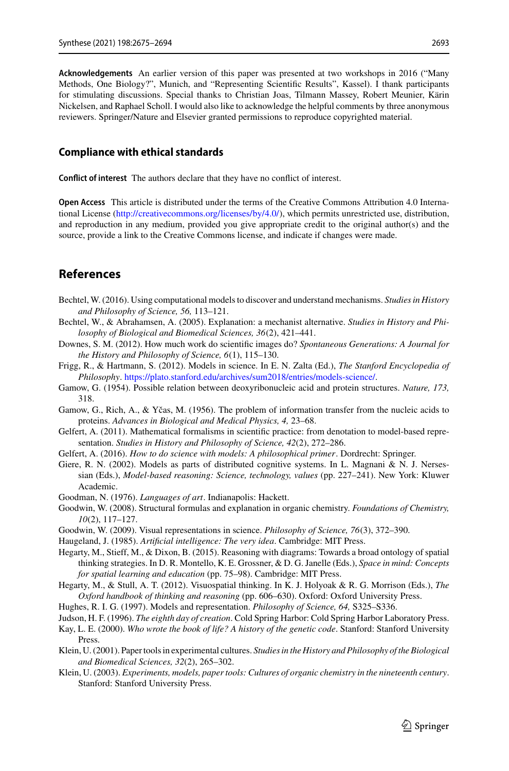**Acknowledgements** An earlier version of this paper was presented at two workshops in 2016 ("Many Methods, One Biology?", Munich, and "Representing Scientific Results", Kassel). I thank participants for stimulating discussions. Special thanks to Christian Joas, Tilmann Massey, Robert Meunier, Kärin Nickelsen, and Raphael Scholl. I would also like to acknowledge the helpful comments by three anonymous reviewers. Springer/Nature and Elsevier granted permissions to reproduce copyrighted material.

#### **Compliance with ethical standards**

**Conflict of interest** The authors declare that they have no conflict of interest.

**Open Access** This article is distributed under the terms of the Creative Commons Attribution 4.0 International License [\(http://creativecommons.org/licenses/by/4.0/\)](http://creativecommons.org/licenses/by/4.0/), which permits unrestricted use, distribution, and reproduction in any medium, provided you give appropriate credit to the original author(s) and the source, provide a link to the Creative Commons license, and indicate if changes were made.

## **References**

- <span id="page-18-11"></span>Bechtel, W. (2016). Using computational models to discover and understand mechanisms. *Studies in History and Philosophy of Science, 56,* 113–121.
- <span id="page-18-10"></span>Bechtel, W., & Abrahamsen, A. (2005). Explanation: a mechanist alternative. *Studies in History and Philosophy of Biological and Biomedical Sciences, 36*(2), 421–441.
- <span id="page-18-2"></span>Downes, S. M. (2012). How much work do scientific images do? *Spontaneous Generations: A Journal for the History and Philosophy of Science, 6*(1), 115–130.
- <span id="page-18-0"></span>Frigg, R., & Hartmann, S. (2012). Models in science. In E. N. Zalta (Ed.), *The Stanford Encyclopedia of Philosophy*. [https://plato.stanford.edu/archives/sum2018/entries/models-science/.](https://plato.stanford.edu/archives/sum2018/entries/models-science/)
- <span id="page-18-9"></span>Gamow, G. (1954). Possible relation between deoxyribonucleic acid and protein structures. *Nature, 173,* 318.
- <span id="page-18-14"></span>Gamow, G., Rich, A., & Yčas, M. (1956). The problem of information transfer from the nucleic acids to proteins. *Advances in Biological and Medical Physics, 4,* 23–68.
- <span id="page-18-18"></span>Gelfert, A. (2011). Mathematical formalisms in scientific practice: from denotation to model-based representation. *Studies in History and Philosophy of Science, 42*(2), 272–286.
- <span id="page-18-16"></span>Gelfert, A. (2016). *How to do science with models: A philosophical primer*. Dordrecht: Springer.
- <span id="page-18-1"></span>Giere, R. N. (2002). Models as parts of distributed cognitive systems. In L. Magnani & N. J. Nersessian (Eds.), *Model-based reasoning: Science, technology, values* (pp. 227–241). New York: Kluwer Academic.
- <span id="page-18-6"></span>Goodman, N. (1976). *Languages of art*. Indianapolis: Hackett.
- <span id="page-18-5"></span>Goodwin, W. (2008). Structural formulas and explanation in organic chemistry. *Foundations of Chemistry, 10*(2), 117–127.
- <span id="page-18-8"></span>Goodwin, W. (2009). Visual representations in science. *Philosophy of Science, 76*(3), 372–390.
- <span id="page-18-7"></span>Haugeland, J. (1985). *Artificial intelligence: The very idea*. Cambridge: MIT Press.
- <span id="page-18-17"></span>Hegarty, M., Stieff, M., & Dixon, B. (2015). Reasoning with diagrams: Towards a broad ontology of spatial thinking strategies. In D. R. Montello, K. E. Grossner, & D. G. Janelle (Eds.), *Space in mind: Concepts for spatial learning and education* (pp. 75–98). Cambridge: MIT Press.
- <span id="page-18-19"></span>Hegarty, M., & Stull, A. T. (2012). Visuospatial thinking. In K. J. Holyoak & R. G. Morrison (Eds.), *The Oxford handbook of thinking and reasoning* (pp. 606–630). Oxford: Oxford University Press.
- <span id="page-18-15"></span>Hughes, R. I. G. (1997). Models and representation. *Philosophy of Science, 64,* S325–S336.
- <span id="page-18-12"></span>Judson, H. F. (1996). *The eighth day of creation*. Cold Spring Harbor: Cold Spring Harbor Laboratory Press.
- <span id="page-18-13"></span>Kay, L. E. (2000). *Who wrote the book of life? A history of the genetic code*. Stanford: Stanford University Press.
- <span id="page-18-3"></span>Klein, U. (2001). Paper tools in experimental cultures. *Studies in the History and Philosophy of the Biological and Biomedical Sciences, 32*(2), 265–302.
- <span id="page-18-4"></span>Klein, U. (2003). *Experiments, models, paper tools: Cultures of organic chemistry in the nineteenth century*. Stanford: Stanford University Press.